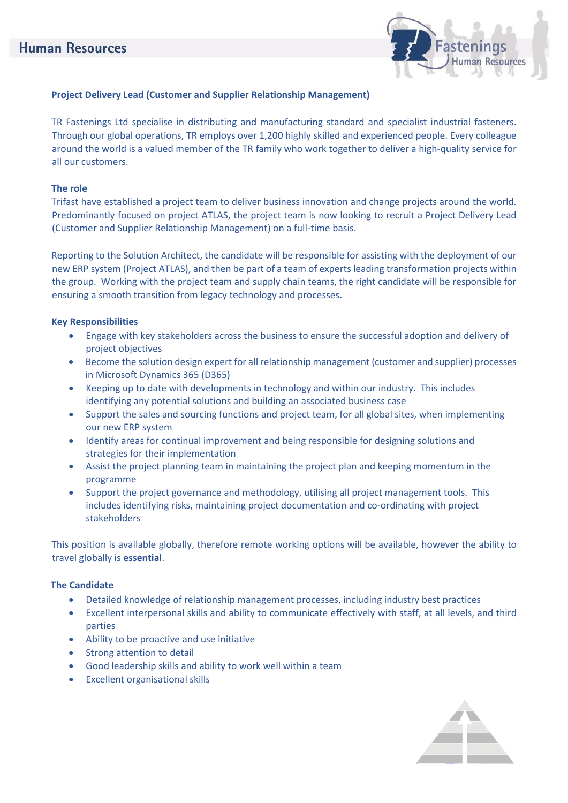

# **Project Delivery Lead (Customer and Supplier Relationship Management)**

TR Fastenings Ltd specialise in distributing and manufacturing standard and specialist industrial fasteners. Through our global operations, TR employs over 1,200 highly skilled and experienced people. Every colleague around the world is a valued member of the TR family who work together to deliver a high-quality service for all our customers.

### **The role**

Trifast have established a project team to deliver business innovation and change projects around the world. Predominantly focused on project ATLAS, the project team is now looking to recruit a Project Delivery Lead (Customer and Supplier Relationship Management) on a full-time basis.

Reporting to the Solution Architect, the candidate will be responsible for assisting with the deployment of our new ERP system (Project ATLAS), and then be part of a team of experts leading transformation projects within the group. Working with the project team and supply chain teams, the right candidate will be responsible for ensuring a smooth transition from legacy technology and processes.

## **Key Responsibilities**

- Engage with key stakeholders across the business to ensure the successful adoption and delivery of project objectives
- Become the solution design expert for all relationship management (customer and supplier) processes in Microsoft Dynamics 365 (D365)
- Keeping up to date with developments in technology and within our industry. This includes identifying any potential solutions and building an associated business case
- Support the sales and sourcing functions and project team, for all global sites, when implementing our new ERP system
- Identify areas for continual improvement and being responsible for designing solutions and strategies for their implementation
- Assist the project planning team in maintaining the project plan and keeping momentum in the programme
- Support the project governance and methodology, utilising all project management tools. This includes identifying risks, maintaining project documentation and co-ordinating with project stakeholders

This position is available globally, therefore remote working options will be available, however the ability to travel globally is **essential**.

#### **The Candidate**

- Detailed knowledge of relationship management processes, including industry best practices
- Excellent interpersonal skills and ability to communicate effectively with staff, at all levels, and third parties
- Ability to be proactive and use initiative
- Strong attention to detail
- Good leadership skills and ability to work well within a team
- **Excellent organisational skills**